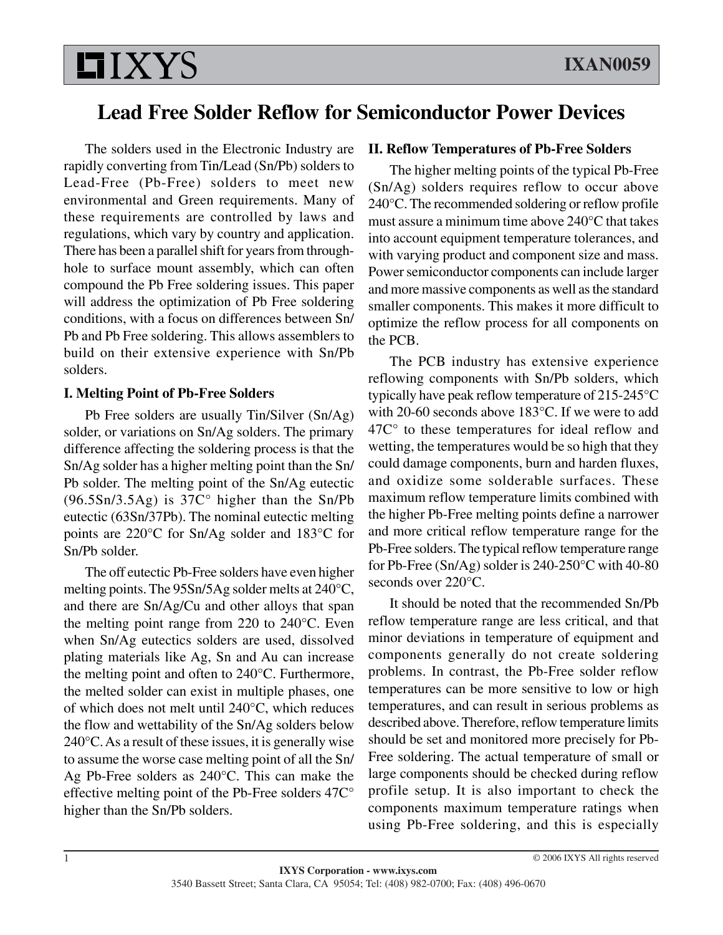# **LIXYS**

# **Lead Free Solder Reflow for Semiconductor Power Devices**

The solders used in the Electronic Industry are rapidly converting from Tin/Lead (Sn/Pb) solders to Lead-Free (Pb-Free) solders to meet new environmental and Green requirements. Many of these requirements are controlled by laws and regulations, which vary by country and application. There has been a parallel shift for years from throughhole to surface mount assembly, which can often compound the Pb Free soldering issues. This paper will address the optimization of Pb Free soldering conditions, with a focus on differences between Sn/ Pb and Pb Free soldering. This allows assemblers to build on their extensive experience with Sn/Pb solders.

### **I. Melting Point of Pb-Free Solders**

Pb Free solders are usually Tin/Silver (Sn/Ag) solder, or variations on Sn/Ag solders. The primary difference affecting the soldering process is that the Sn/Ag solder has a higher melting point than the Sn/ Pb solder. The melting point of the Sn/Ag eutectic (96.5Sn/3.5Ag) is 37C° higher than the Sn/Pb eutectic (63Sn/37Pb). The nominal eutectic melting points are 220°C for Sn/Ag solder and 183°C for Sn/Pb solder.

The off eutectic Pb-Free solders have even higher melting points. The 95Sn/5Ag solder melts at 240°C, and there are Sn/Ag/Cu and other alloys that span the melting point range from 220 to 240°C. Even when Sn/Ag eutectics solders are used, dissolved plating materials like Ag, Sn and Au can increase the melting point and often to 240°C. Furthermore, the melted solder can exist in multiple phases, one of which does not melt until 240°C, which reduces the flow and wettability of the Sn/Ag solders below 240°C. As a result of these issues, it is generally wise to assume the worse case melting point of all the Sn/ Ag Pb-Free solders as 240°C. This can make the effective melting point of the Pb-Free solders 47C° higher than the Sn/Pb solders.

## **II. Reflow Temperatures of Pb-Free Solders**

The higher melting points of the typical Pb-Free (Sn/Ag) solders requires reflow to occur above 240°C. The recommended soldering or reflow profile must assure a minimum time above 240°C that takes into account equipment temperature tolerances, and with varying product and component size and mass. Power semiconductor components can include larger and more massive components as well as the standard smaller components. This makes it more difficult to optimize the reflow process for all components on the PCB.

The PCB industry has extensive experience reflowing components with Sn/Pb solders, which typically have peak reflow temperature of 215-245°C with 20-60 seconds above 183°C. If we were to add 47C° to these temperatures for ideal reflow and wetting, the temperatures would be so high that they could damage components, burn and harden fluxes, and oxidize some solderable surfaces. These maximum reflow temperature limits combined with the higher Pb-Free melting points define a narrower and more critical reflow temperature range for the Pb-Free solders. The typical reflow temperature range for Pb-Free (Sn/Ag) solder is 240-250°C with 40-80 seconds over 220°C.

It should be noted that the recommended Sn/Pb reflow temperature range are less critical, and that minor deviations in temperature of equipment and components generally do not create soldering problems. In contrast, the Pb-Free solder reflow temperatures can be more sensitive to low or high temperatures, and can result in serious problems as described above. Therefore, reflow temperature limits should be set and monitored more precisely for Pb-Free soldering. The actual temperature of small or large components should be checked during reflow profile setup. It is also important to check the components maximum temperature ratings when using Pb-Free soldering, and this is especially

© 2006 IXYS All rights reserved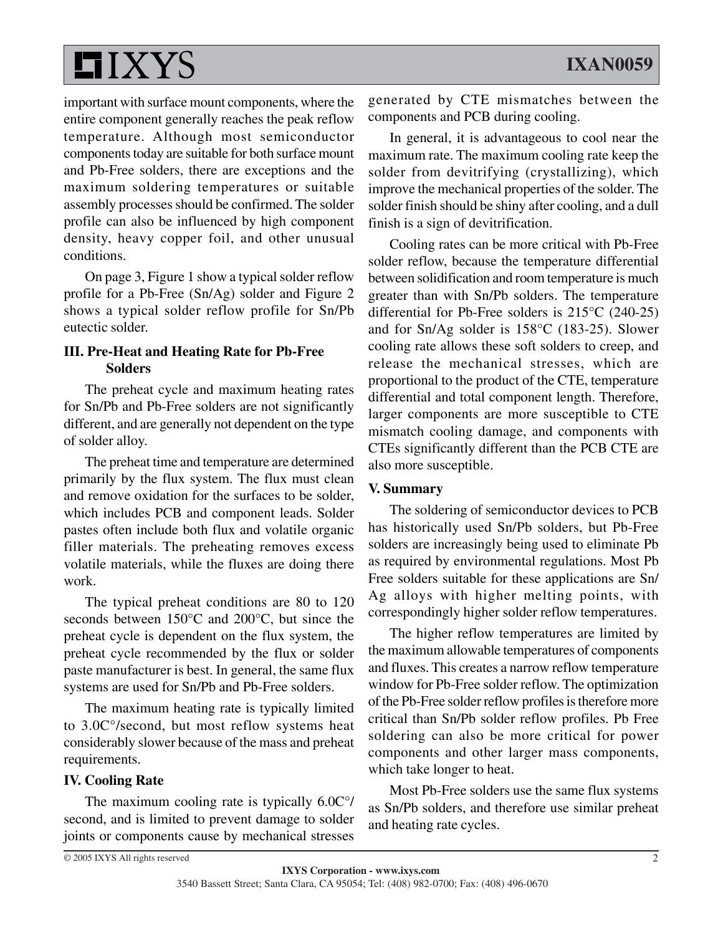

important with surface mount components, where the entire component generally reaches the peak reflow temperature. Although most semiconductor components today are suitable for both surface mount and Pb-Free solders, there are exceptions and the maximum soldering temperatures or suitable assembly processes should be confirmed. The solder profile can also be influenced by high component density, heavy copper foil, and other unusual conditions.

On page 3, Figure 1 show a typical solder reflow profile for a Pb-Free (Sn/Ag) solder and Figure 2 shows a typical solder reflow profile for Sn/Pb eutectic solder.

### **III. Pre-Heat and Heating Rate for Pb-Free Solders**

The preheat cycle and maximum heating rates for Sn/Pb and Pb-Free solders are not significantly different, and are generally not dependent on the type of solder alloy.

The preheat time and temperature are determined primarily by the flux system. The flux must clean and remove oxidation for the surfaces to be solder, which includes PCB and component leads. Solder pastes often include both flux and volatile organic filler materials. The preheating removes excess volatile materials, while the fluxes are doing there work.

The typical preheat conditions are 80 to 120 seconds between 150°C and 200°C, but since the preheat cycle is dependent on the flux system, the preheat cycle recommended by the flux or solder paste manufacturer is best. In general, the same flux systems are used for Sn/Pb and Pb-Free solders.

The maximum heating rate is typically limited to 3.0C°/second, but most reflow systems heat considerably slower because of the mass and preheat requirements.

#### **IV. Cooling Rate**

The maximum cooling rate is typically 6.0C°/ second, and is limited to prevent damage to solder joints or components cause by mechanical stresses

generated by CTE mismatches between the components and PCB during cooling.

In general, it is advantageous to cool near the maximum rate. The maximum cooling rate keep the solder from devitrifying (crystallizing), which improve the mechanical properties of the solder. The solder finish should be shiny after cooling, and a dull finish is a sign of devitrification.

Cooling rates can be more critical with Pb-Free solder reflow, because the temperature differential between solidification and room temperature is much greater than with Sn/Pb solders. The temperature differential for Pb-Free solders is 215°C (240-25) and for Sn/Ag solder is 158°C (183-25). Slower cooling rate allows these soft solders to creep, and release the mechanical stresses, which are proportional to the product of the CTE, temperature differential and total component length. Therefore, larger components are more susceptible to CTE mismatch cooling damage, and components with CTEs significantly different than the PCB CTE are also more susceptible.

#### **V. Summary**

The soldering of semiconductor devices to PCB has historically used Sn/Pb solders, but Pb-Free solders are increasingly being used to eliminate Pb as required by environmental regulations. Most Pb Free solders suitable for these applications are Sn/ Ag alloys with higher melting points, with correspondingly higher solder reflow temperatures.

The higher reflow temperatures are limited by the maximum allowable temperatures of components and fluxes. This creates a narrow reflow temperature window for Pb-Free solder reflow. The optimization of the Pb-Free solder reflow profiles is therefore more critical than Sn/Pb solder reflow profiles. Pb Free soldering can also be more critical for power components and other larger mass components, which take longer to heat.

Most Pb-Free solders use the same flux systems as Sn/Pb solders, and therefore use similar preheat and heating rate cycles.